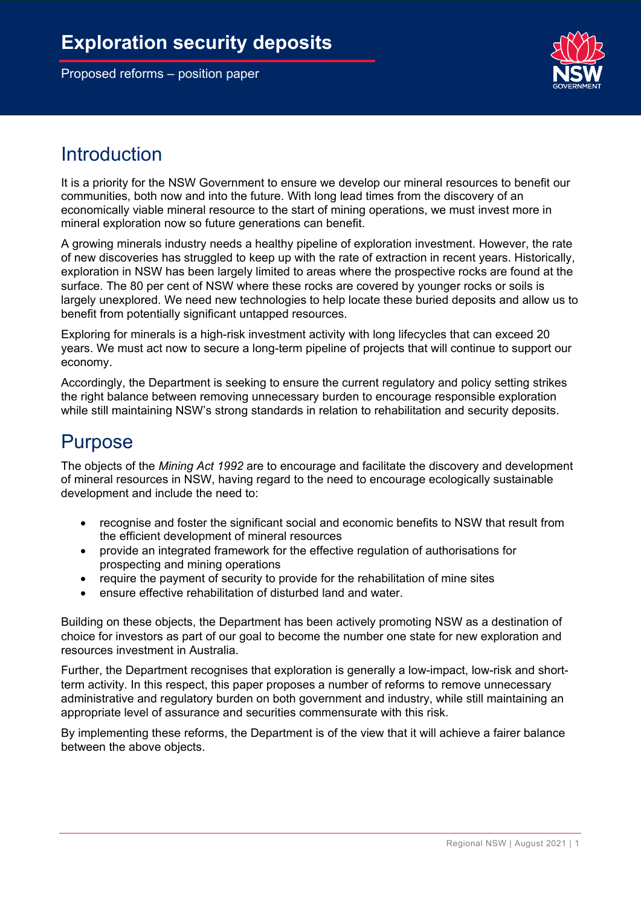

## Introduction

It is a priority for the NSW Government to ensure we develop our mineral resources to benefit our communities, both now and into the future. With long lead times from the discovery of an economically viable mineral resource to the start of mining operations, we must invest more in mineral exploration now so future generations can benefit.

A growing minerals industry needs a healthy pipeline of exploration investment. However, the rate of new discoveries has struggled to keep up with the rate of extraction in recent years. Historically, exploration in NSW has been largely limited to areas where the prospective rocks are found at the surface. The 80 per cent of NSW where these rocks are covered by younger rocks or soils is largely unexplored. We need new technologies to help locate these buried deposits and allow us to benefit from potentially significant untapped resources.

Exploring for minerals is a high-risk investment activity with long lifecycles that can exceed 20 years. We must act now to secure a long-term pipeline of projects that will continue to support our economy.

Accordingly, the Department is seeking to ensure the current regulatory and policy setting strikes the right balance between removing unnecessary burden to encourage responsible exploration while still maintaining NSW's strong standards in relation to rehabilitation and security deposits.

## Purpose

The objects of the *Mining Act 1992* are to encourage and facilitate the discovery and development of mineral resources in NSW, having regard to the need to encourage ecologically sustainable development and include the need to:

- recognise and foster the significant social and economic benefits to NSW that result from the efficient development of mineral resources
- provide an integrated framework for the effective regulation of [authorisations](http://classic.austlii.edu.au/au/legis/nsw/consol_act/ma199281/s239e.html#authorisation) for prospecting and mining operations
- require the payment of security to provide for the rehabilitation of mine sites
- ensure effective rehabilitation of disturbed land and water.

Building on these objects, the Department has been actively promoting NSW as a destination of choice for investors as part of our goal to become the number one state for new exploration and resources investment in Australia.

Further, the Department recognises that exploration is generally a low-impact, low-risk and shortterm activity. In this respect, this paper proposes a number of reforms to remove unnecessary administrative and regulatory burden on both government and industry, while still maintaining an appropriate level of assurance and securities commensurate with this risk.

By implementing these reforms, the Department is of the view that it will achieve a fairer balance between the above objects.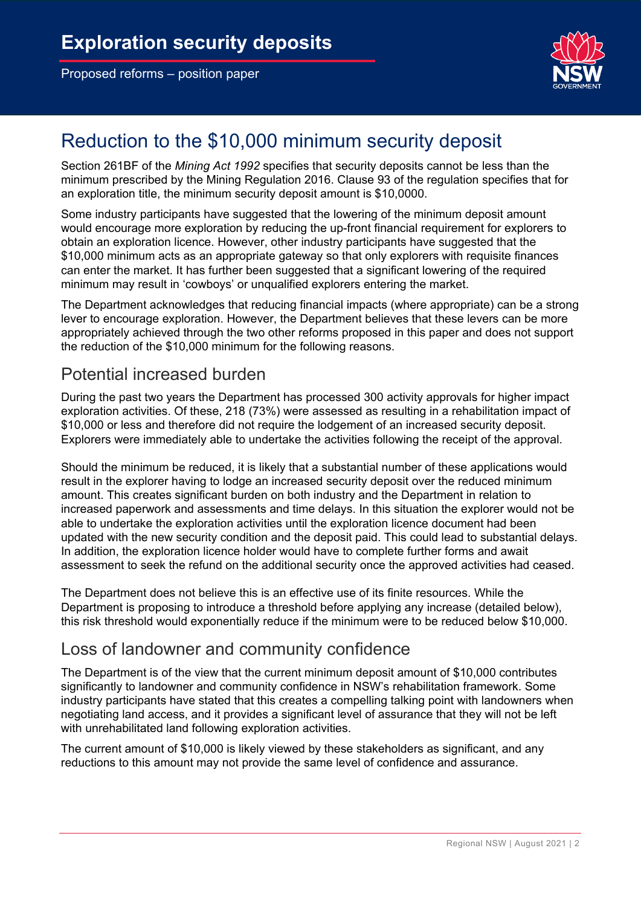

# Reduction to the \$10,000 minimum security deposit

Section 261BF of the *Mining Act 1992* specifies that security deposits cannot be less than the minimum prescribed by the Mining Regulation 2016. Clause 93 of the regulation specifies that for an exploration title, the minimum security deposit amount is \$10,0000.

Some industry participants have suggested that the lowering of the minimum deposit amount would encourage more exploration by reducing the up-front financial requirement for explorers to obtain an exploration licence. However, other industry participants have suggested that the \$10,000 minimum acts as an appropriate gateway so that only explorers with requisite finances can enter the market. It has further been suggested that a significant lowering of the required minimum may result in 'cowboys' or unqualified explorers entering the market.

The Department acknowledges that reducing financial impacts (where appropriate) can be a strong lever to encourage exploration. However, the Department believes that these levers can be more appropriately achieved through the two other reforms proposed in this paper and does not support the reduction of the \$10,000 minimum for the following reasons.

### Potential increased burden

During the past two years the Department has processed 300 activity approvals for higher impact exploration activities. Of these, 218 (73%) were assessed as resulting in a rehabilitation impact of \$10,000 or less and therefore did not require the lodgement of an increased security deposit. Explorers were immediately able to undertake the activities following the receipt of the approval.

Should the minimum be reduced, it is likely that a substantial number of these applications would result in the explorer having to lodge an increased security deposit over the reduced minimum amount. This creates significant burden on both industry and the Department in relation to increased paperwork and assessments and time delays. In this situation the explorer would not be able to undertake the exploration activities until the exploration licence document had been updated with the new security condition and the deposit paid. This could lead to substantial delays. In addition, the exploration licence holder would have to complete further forms and await assessment to seek the refund on the additional security once the approved activities had ceased.

The Department does not believe this is an effective use of its finite resources. While the Department is proposing to introduce a threshold before applying any increase (detailed below), this risk threshold would exponentially reduce if the minimum were to be reduced below \$10,000.

### Loss of landowner and community confidence

The Department is of the view that the current minimum deposit amount of \$10,000 contributes significantly to landowner and community confidence in NSW's rehabilitation framework. Some industry participants have stated that this creates a compelling talking point with landowners when negotiating land access, and it provides a significant level of assurance that they will not be left with unrehabilitated land following exploration activities.

The current amount of \$10,000 is likely viewed by these stakeholders as significant, and any reductions to this amount may not provide the same level of confidence and assurance.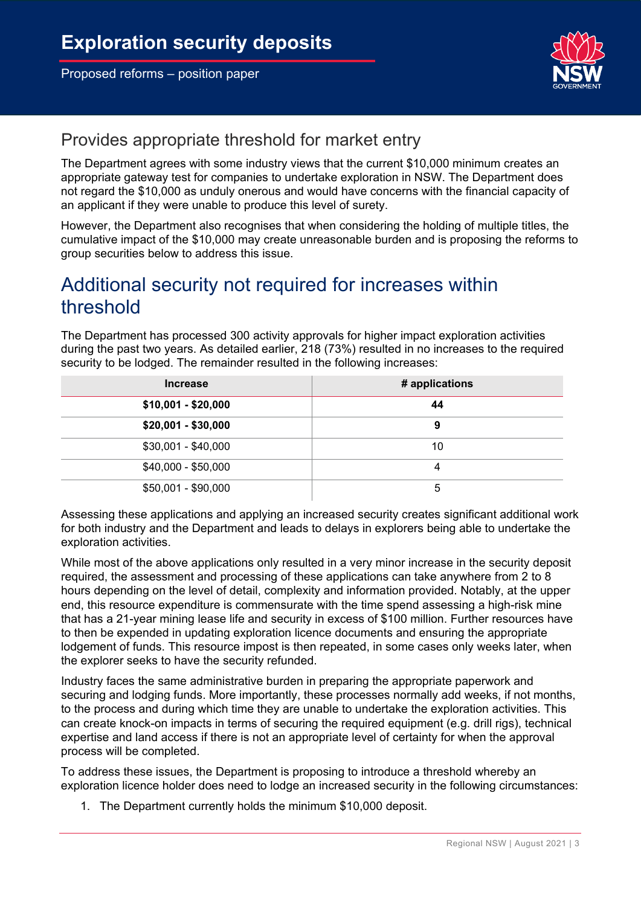

## Provides appropriate threshold for market entry

The Department agrees with some industry views that the current \$10,000 minimum creates an appropriate gateway test for companies to undertake exploration in NSW. The Department does not regard the \$10,000 as unduly onerous and would have concerns with the financial capacity of an applicant if they were unable to produce this level of surety.

However, the Department also recognises that when considering the holding of multiple titles, the cumulative impact of the \$10,000 may create unreasonable burden and is proposing the reforms to group securities below to address this issue.

# Additional security not required for increases within threshold

The Department has processed 300 activity approvals for higher impact exploration activities during the past two years. As detailed earlier, 218 (73%) resulted in no increases to the required security to be lodged. The remainder resulted in the following increases:

| <b>Increase</b>     | # applications |
|---------------------|----------------|
| $$10,001 - $20,000$ | 44             |
| $$20,001 - $30,000$ | 9              |
| $$30,001 - $40,000$ | 10             |
| $$40,000 - $50,000$ | 4              |
| $$50,001 - $90,000$ | 5              |

Assessing these applications and applying an increased security creates significant additional work for both industry and the Department and leads to delays in explorers being able to undertake the exploration activities.

While most of the above applications only resulted in a very minor increase in the security deposit required, the assessment and processing of these applications can take anywhere from 2 to 8 hours depending on the level of detail, complexity and information provided. Notably, at the upper end, this resource expenditure is commensurate with the time spend assessing a high-risk mine that has a 21-year mining lease life and security in excess of \$100 million. Further resources have to then be expended in updating exploration licence documents and ensuring the appropriate lodgement of funds. This resource impost is then repeated, in some cases only weeks later, when the explorer seeks to have the security refunded.

Industry faces the same administrative burden in preparing the appropriate paperwork and securing and lodging funds. More importantly, these processes normally add weeks, if not months, to the process and during which time they are unable to undertake the exploration activities. This can create knock-on impacts in terms of securing the required equipment (e.g. drill rigs), technical expertise and land access if there is not an appropriate level of certainty for when the approval process will be completed.

To address these issues, the Department is proposing to introduce a threshold whereby an exploration licence holder does need to lodge an increased security in the following circumstances:

1. The Department currently holds the minimum \$10,000 deposit.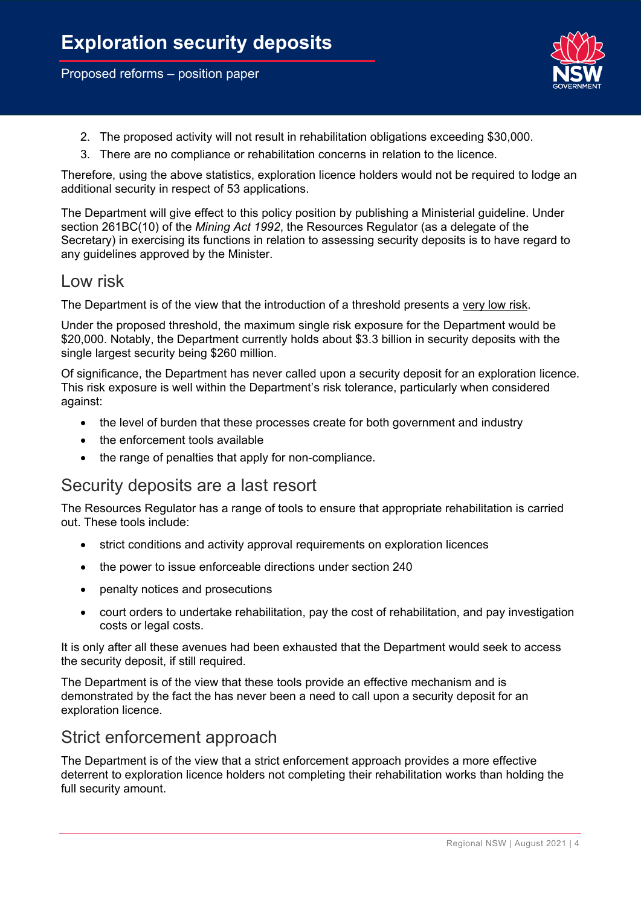

- 2. The proposed activity will not result in rehabilitation obligations exceeding \$30,000.
- 3. There are no compliance or rehabilitation concerns in relation to the licence.

Therefore, using the above statistics, exploration licence holders would not be required to lodge an additional security in respect of 53 applications.

The Department will give effect to this policy position by publishing a Ministerial guideline. Under section 261BC(10) of the *Mining Act 1992*, the Resources Regulator (as a delegate of the Secretary) in exercising its functions in relation to assessing security deposits is to have regard to any guidelines approved by the Minister.

#### Low risk

The Department is of the view that the introduction of a threshold presents a very low risk.

Under the proposed threshold, the maximum single risk exposure for the Department would be \$20,000. Notably, the Department currently holds about \$3.3 billion in security deposits with the single largest security being \$260 million.

Of significance, the Department has never called upon a security deposit for an exploration licence. This risk exposure is well within the Department's risk tolerance, particularly when considered against:

- the level of burden that these processes create for both government and industry
- the enforcement tools available
- the range of penalties that apply for non-compliance.

#### Security deposits are a last resort

The Resources Regulator has a range of tools to ensure that appropriate rehabilitation is carried out. These tools include:

- strict conditions and activity approval requirements on exploration licences
- the power to issue enforceable directions under section 240
- penalty notices and prosecutions
- court orders to undertake rehabilitation, pay the cost of rehabilitation, and pay investigation costs or legal costs.

It is only after all these avenues had been exhausted that the Department would seek to access the security deposit, if still required.

The Department is of the view that these tools provide an effective mechanism and is demonstrated by the fact the has never been a need to call upon a security deposit for an exploration licence.

### Strict enforcement approach

The Department is of the view that a strict enforcement approach provides a more effective deterrent to exploration licence holders not completing their rehabilitation works than holding the full security amount.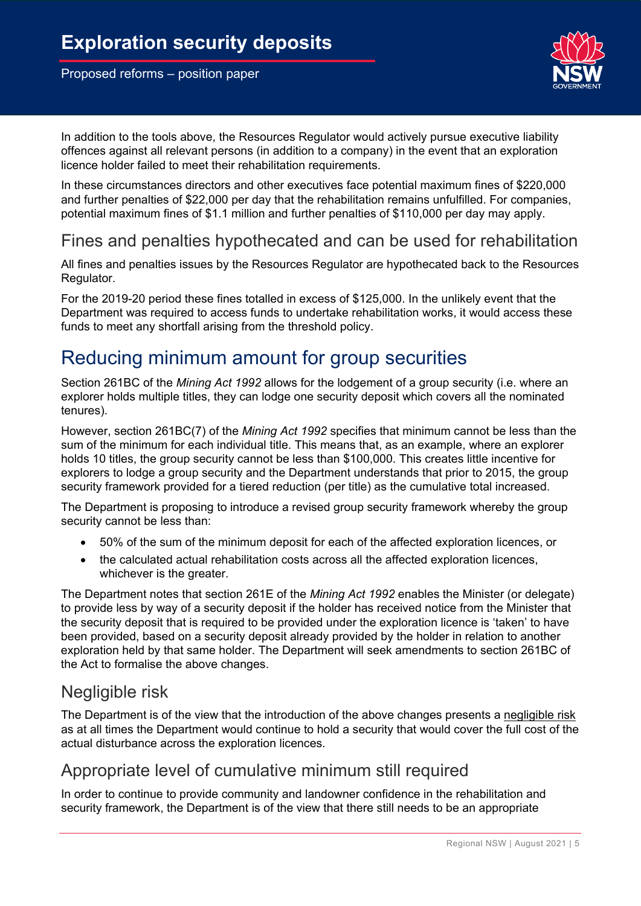

In addition to the tools above, the Resources Regulator would actively pursue executive liability offences against all relevant persons (in addition to a company) in the event that an exploration licence holder failed to meet their rehabilitation requirements.

In these circumstances directors and other executives face potential maximum fines of \$220,000 and further penalties of \$22,000 per day that the rehabilitation remains unfulfilled. For companies, potential maximum fines of \$1.1 million and further penalties of \$110,000 per day may apply.

### Fines and penalties hypothecated and can be used for rehabilitation

All fines and penalties issues by the Resources Regulator are hypothecated back to the Resources Regulator.

For the 2019-20 period these fines totalled in excess of \$125,000. In the unlikely event that the Department was required to access funds to undertake rehabilitation works, it would access these funds to meet any shortfall arising from the threshold policy.

## Reducing minimum amount for group securities

Section 261BC of the *Mining Act 1992* allows for the lodgement of a group security (i.e. where an explorer holds multiple titles, they can lodge one security deposit which covers all the nominated tenures).

However, section 261BC(7) of the *Mining Act 1992* specifies that minimum cannot be less than the sum of the minimum for each individual title. This means that, as an example, where an explorer holds 10 titles, the group security cannot be less than \$100,000. This creates little incentive for explorers to lodge a group security and the Department understands that prior to 2015, the group security framework provided for a tiered reduction (per title) as the cumulative total increased.

The Department is proposing to introduce a revised group security framework whereby the group security cannot be less than:

- 50% of the sum of the minimum deposit for each of the affected exploration licences, or
- the calculated actual rehabilitation costs across all the affected exploration licences, whichever is the greater.

The Department notes that section 261E of the *Mining Act 1992* enables the Minister (or delegate) to provide less by way of a security deposit if the holder has received notice from the Minister that the security deposit that is required to be provided under the exploration licence is 'taken' to have been provided, based on a security deposit already provided by the holder in relation to another exploration held by that same holder. The Department will seek amendments to section 261BC of the Act to formalise the above changes.

### Negligible risk

The Department is of the view that the introduction of the above changes presents a negligible risk as at all times the Department would continue to hold a security that would cover the full cost of the actual disturbance across the exploration licences.

### Appropriate level of cumulative minimum still required

In order to continue to provide community and landowner confidence in the rehabilitation and security framework, the Department is of the view that there still needs to be an appropriate